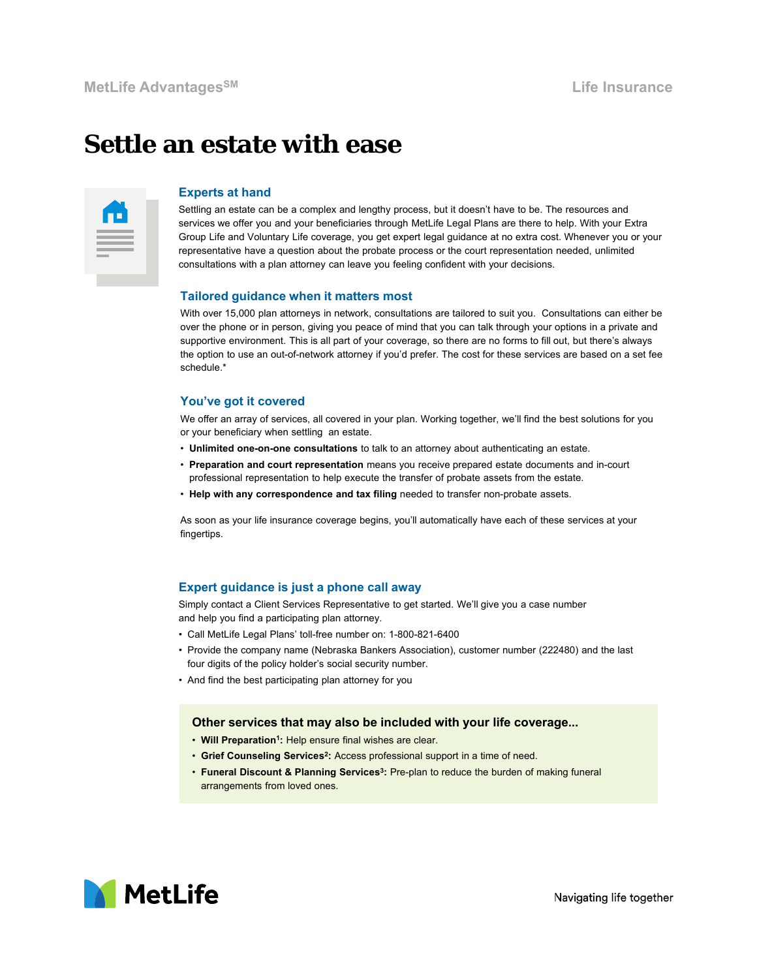# **Settle an estate with ease**

## **Experts at hand**

Settling an estate can be a complex and lengthy process, but it doesn't have to be. The resources and services we offer you and your beneficiaries through MetLife Legal Plans are there to help. With your Extra Group Life and Voluntary Life coverage, you get expert legal guidance at no extra cost. Whenever you or your representative have a question about the probate process or the court representation needed, unlimited consultations with a plan attorney can leave you feeling confident with your decisions.

#### **Tailored guidance when it matters most**

With over 15,000 plan attorneys in network, consultations are tailored to suit you. Consultations can either be over the phone or in person, giving you peace of mind that you can talk through your options in a private and supportive environment. This is all part of your coverage, so there are no forms to fill out, but there's always the option to use an out-of-network attorney if you'd prefer. The cost for these services are based on a set fee schedule<sup>\*</sup>

#### **You've got it covered**

We offer an array of services, all covered in your plan. Working together, we'll find the best solutions for you or your beneficiary when settling an estate.

- **Unlimited one-on-one consultations** to talk to an attorney about authenticating an estate.
- **Preparation and court representation** means you receive prepared estate documents and in-court professional representation to help execute the transfer of probate assets from the estate.
- **Help with any correspondence and tax filing** needed to transfer non-probate assets.

As soon as your life insurance coverage begins, you'll automatically have each of these services at your fingertips.

### **Expert guidance is just a phone call away**

Simply contact a Client Services Representative to get started. We'll give you a case number and help you find a participating plan attorney.

- Call MetLife Legal Plans' toll-free number on: 1-800-821-6400
- Provide the company name (Nebraska Bankers Association), customer number (222480) and the last four digits of the policy holder's social security number.
- And find the best participating plan attorney for you

#### **Other services that may also be included with your life coverage...**

- **Will Preparation1:** Help ensure final wishes are clear.
- **Grief Counseling Services2:** Access professional support in a time of need.
- **Funeral Discount & Planning Services3:** Pre-plan to reduce the burden of making funeral arrangements from loved ones.